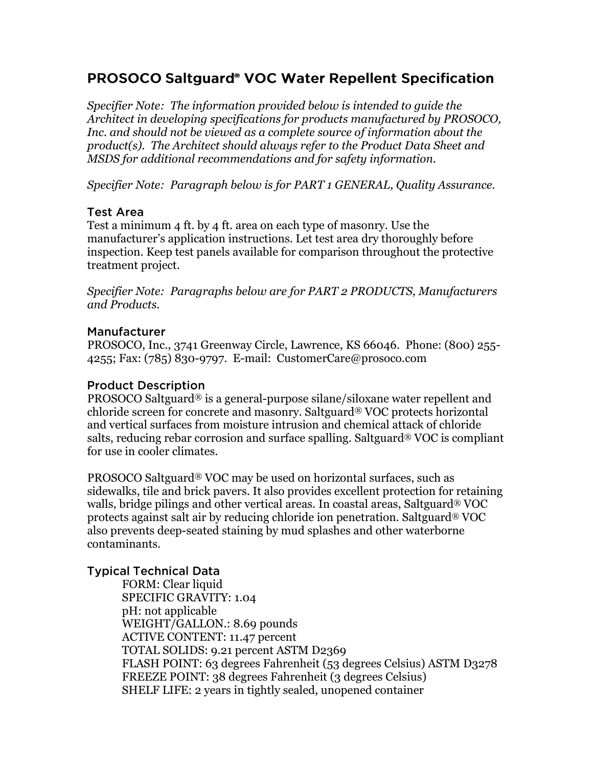# **PROSOCO Saltguard<sup>®</sup> VOC Water Repellent Specification**

*Specifier Note: The information provided below is intended to guide the Architect in developing specifications for products manufactured by PROSOCO, Inc. and should not be viewed as a complete source of information about the product(s). The Architect should always refer to the Product Data Sheet and MSDS for additional recommendations and for safety information.* 

*Specifier Note: Paragraph below is for PART 1 GENERAL, Quality Assurance.* 

### **Test Area**

Test a minimum 4 ft. by 4 ft. area on each type of masonry. Use the manufacturer's application instructions. Let test area dry thoroughly before inspection. Keep test panels available for comparison throughout the protective treatment project.

*Specifier Note: Paragraphs below are for PART 2 PRODUCTS, Manufacturers and Products.* 

### **Manufacturer**

PROSOCO, Inc., 3741 Greenway Circle, Lawrence, KS 66046. Phone: (800) 255- 4255; Fax: (785) 830-9797. E-mail: CustomerCare@prosoco.com

#### **Product Description**

PROSOCO Saltguard® is a general-purpose silane/siloxane water repellent and chloride screen for concrete and masonry. Saltguard® VOC protects horizontal and vertical surfaces from moisture intrusion and chemical attack of chloride salts, reducing rebar corrosion and surface spalling. Saltguard® VOC is compliant for use in cooler climates.

PROSOCO Saltguard® VOC may be used on horizontal surfaces, such as sidewalks, tile and brick pavers. It also provides excellent protection for retaining walls, bridge pilings and other vertical areas. In coastal areas, Saltguard® VOC protects against salt air by reducing chloride ion penetration. Saltguard® VOC also prevents deep-seated staining by mud splashes and other waterborne contaminants.

### **Typical Technical Data**

FORM: Clear liquid SPECIFIC GRAVITY: 1.04 pH: not applicable WEIGHT/GALLON.: 8.69 pounds ACTIVE CONTENT: 11.47 percent TOTAL SOLIDS: 9.21 percent ASTM D2369 FLASH POINT: 63 degrees Fahrenheit (53 degrees Celsius) ASTM D3278 FREEZE POINT: 38 degrees Fahrenheit (3 degrees Celsius) SHELF LIFE: 2 years in tightly sealed, unopened container